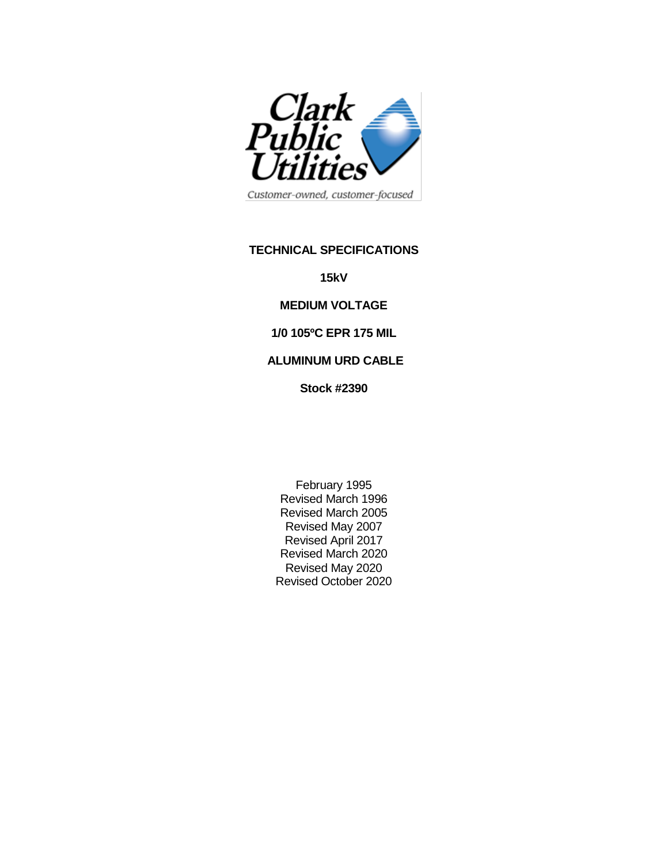

Customer-owned, customer-focused

### **TECHNICAL SPECIFICATIONS**

**15kV** 

### **MEDIUM VOLTAGE**

### **1/0 105ºC EPR 175 MIL**

# **ALUMINUM URD CABLE**

**Stock #2390**

February 1995 Revised March 1996 Revised March 2005 Revised May 2007 Revised April 2017 Revised March 2020 Revised May 2020 Revised October 2020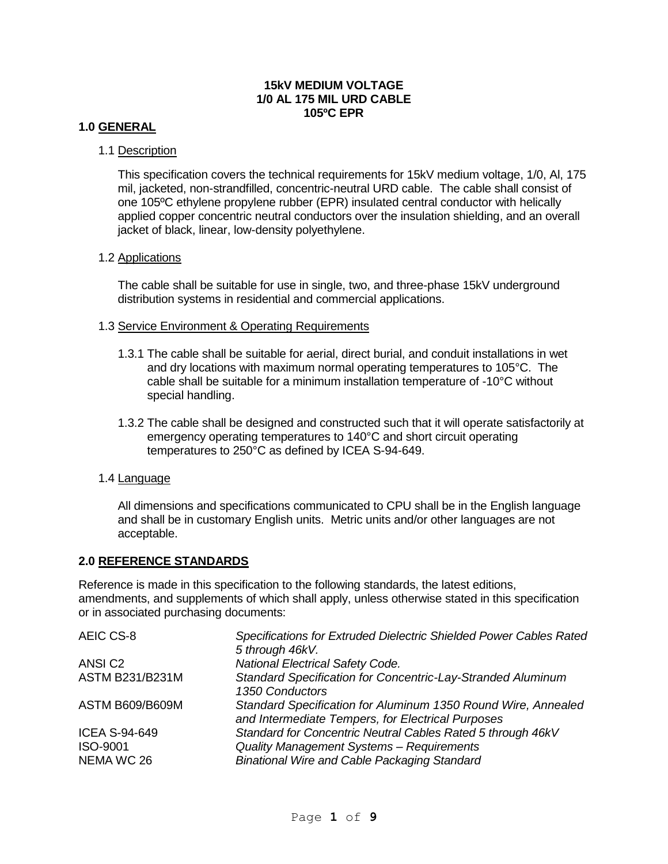### **15kV MEDIUM VOLTAGE 1/0 AL 175 MIL URD CABLE 105ºC EPR**

### **1.0 GENERAL**

### 1.1 Description

This specification covers the technical requirements for 15kV medium voltage, 1/0, Al, 175 mil, jacketed, non-strandfilled, concentric-neutral URD cable. The cable shall consist of one 105ºC ethylene propylene rubber (EPR) insulated central conductor with helically applied copper concentric neutral conductors over the insulation shielding, and an overall jacket of black, linear, low-density polyethylene.

#### 1.2 Applications

The cable shall be suitable for use in single, two, and three-phase 15kV underground distribution systems in residential and commercial applications.

#### 1.3 Service Environment & Operating Requirements

- 1.3.1 The cable shall be suitable for aerial, direct burial, and conduit installations in wet and dry locations with maximum normal operating temperatures to 105°C. The cable shall be suitable for a minimum installation temperature of -10°C without special handling.
- 1.3.2 The cable shall be designed and constructed such that it will operate satisfactorily at emergency operating temperatures to 140°C and short circuit operating temperatures to 250°C as defined by ICEA S-94-649.

# 1.4 Language

All dimensions and specifications communicated to CPU shall be in the English language and shall be in customary English units. Metric units and/or other languages are not acceptable.

# **2.0 REFERENCE STANDARDS**

Reference is made in this specification to the following standards, the latest editions, amendments, and supplements of which shall apply, unless otherwise stated in this specification or in associated purchasing documents:

| AEIC CS-8              | Specifications for Extruded Dielectric Shielded Power Cables Rated<br>5 through 46kV.                              |
|------------------------|--------------------------------------------------------------------------------------------------------------------|
| ANSI <sub>C2</sub>     | <b>National Electrical Safety Code.</b>                                                                            |
| <b>ASTM B231/B231M</b> | Standard Specification for Concentric-Lay-Stranded Aluminum<br>1350 Conductors                                     |
| <b>ASTM B609/B609M</b> | Standard Specification for Aluminum 1350 Round Wire, Annealed<br>and Intermediate Tempers, for Electrical Purposes |
| <b>ICEA S-94-649</b>   | Standard for Concentric Neutral Cables Rated 5 through 46kV                                                        |
| ISO-9001               | Quality Management Systems - Requirements                                                                          |
| NEMA WC 26             | <b>Binational Wire and Cable Packaging Standard</b>                                                                |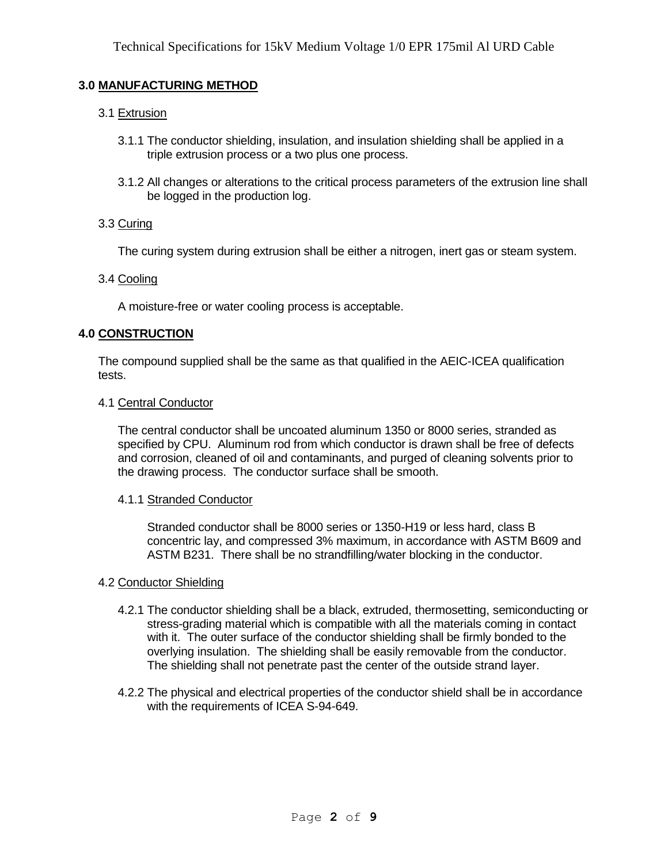# **3.0 MANUFACTURING METHOD**

# 3.1 Extrusion

- 3.1.1 The conductor shielding, insulation, and insulation shielding shall be applied in a triple extrusion process or a two plus one process.
- 3.1.2 All changes or alterations to the critical process parameters of the extrusion line shall be logged in the production log.

#### 3.3 Curing

The curing system during extrusion shall be either a nitrogen, inert gas or steam system.

### 3.4 Cooling

A moisture-free or water cooling process is acceptable.

### **4.0 CONSTRUCTION**

The compound supplied shall be the same as that qualified in the AEIC-ICEA qualification tests.

#### 4.1 Central Conductor

The central conductor shall be uncoated aluminum 1350 or 8000 series, stranded as specified by CPU. Aluminum rod from which conductor is drawn shall be free of defects and corrosion, cleaned of oil and contaminants, and purged of cleaning solvents prior to the drawing process. The conductor surface shall be smooth.

#### 4.1.1 Stranded Conductor

Stranded conductor shall be 8000 series or 1350-H19 or less hard, class B concentric lay, and compressed 3% maximum, in accordance with ASTM B609 and ASTM B231. There shall be no strandfilling/water blocking in the conductor.

# 4.2 Conductor Shielding

- 4.2.1 The conductor shielding shall be a black, extruded, thermosetting, semiconducting or stress-grading material which is compatible with all the materials coming in contact with it. The outer surface of the conductor shielding shall be firmly bonded to the overlying insulation. The shielding shall be easily removable from the conductor. The shielding shall not penetrate past the center of the outside strand layer.
- 4.2.2 The physical and electrical properties of the conductor shield shall be in accordance with the requirements of ICEA S-94-649.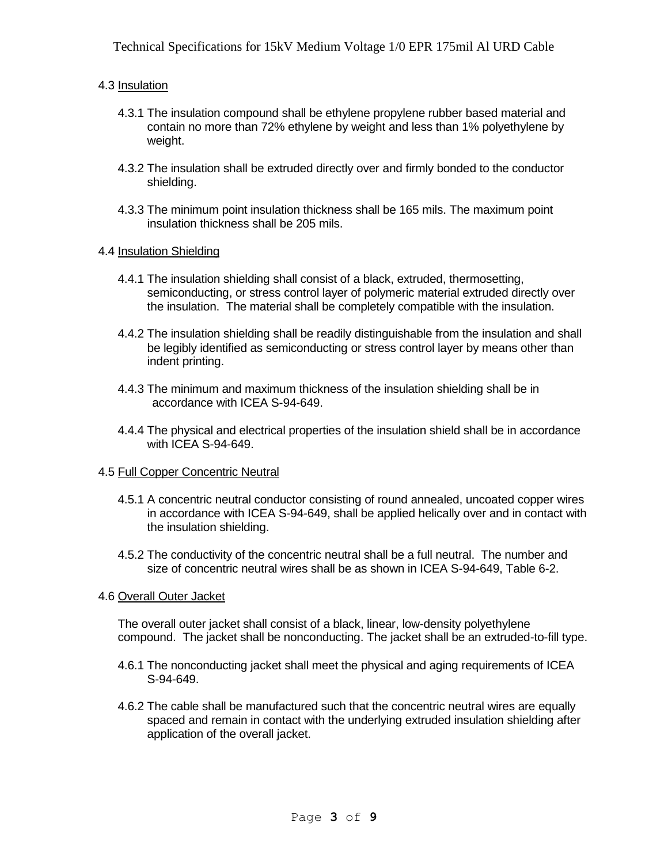### 4.3 Insulation

- 4.3.1 The insulation compound shall be ethylene propylene rubber based material and contain no more than 72% ethylene by weight and less than 1% polyethylene by weight.
- 4.3.2 The insulation shall be extruded directly over and firmly bonded to the conductor shielding.
- 4.3.3 The minimum point insulation thickness shall be 165 mils. The maximum point insulation thickness shall be 205 mils.

### 4.4 Insulation Shielding

- 4.4.1 The insulation shielding shall consist of a black, extruded, thermosetting, semiconducting, or stress control layer of polymeric material extruded directly over the insulation. The material shall be completely compatible with the insulation.
- 4.4.2 The insulation shielding shall be readily distinguishable from the insulation and shall be legibly identified as semiconducting or stress control layer by means other than indent printing.
- 4.4.3 The minimum and maximum thickness of the insulation shielding shall be in accordance with ICEA S-94-649.
- 4.4.4 The physical and electrical properties of the insulation shield shall be in accordance with ICEA S-94-649.

#### 4.5 Full Copper Concentric Neutral

- 4.5.1 A concentric neutral conductor consisting of round annealed, uncoated copper wires in accordance with ICEA S-94-649, shall be applied helically over and in contact with the insulation shielding.
- 4.5.2 The conductivity of the concentric neutral shall be a full neutral. The number and size of concentric neutral wires shall be as shown in ICEA S-94-649, Table 6-2.

#### 4.6 Overall Outer Jacket

The overall outer jacket shall consist of a black, linear, low-density polyethylene compound. The jacket shall be nonconducting. The jacket shall be an extruded-to-fill type.

- 4.6.1 The nonconducting jacket shall meet the physical and aging requirements of ICEA S-94-649.
- 4.6.2 The cable shall be manufactured such that the concentric neutral wires are equally spaced and remain in contact with the underlying extruded insulation shielding after application of the overall jacket.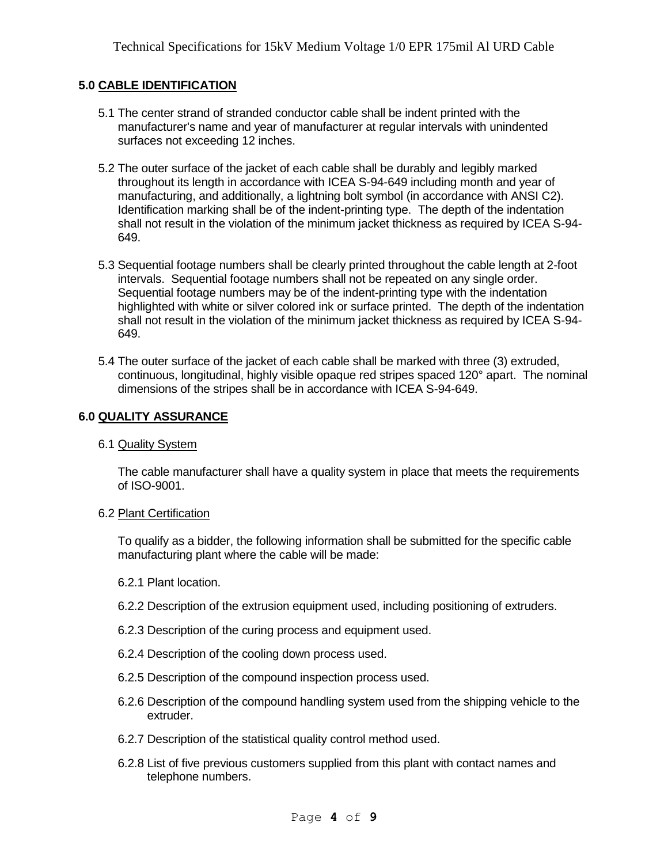# **5.0 CABLE IDENTIFICATION**

- 5.1 The center strand of stranded conductor cable shall be indent printed with the manufacturer's name and year of manufacturer at regular intervals with unindented surfaces not exceeding 12 inches.
- 5.2 The outer surface of the jacket of each cable shall be durably and legibly marked throughout its length in accordance with ICEA S-94-649 including month and year of manufacturing, and additionally, a lightning bolt symbol (in accordance with ANSI C2). Identification marking shall be of the indent-printing type. The depth of the indentation shall not result in the violation of the minimum jacket thickness as required by ICEA S-94- 649.
- 5.3 Sequential footage numbers shall be clearly printed throughout the cable length at 2-foot intervals. Sequential footage numbers shall not be repeated on any single order. Sequential footage numbers may be of the indent-printing type with the indentation highlighted with white or silver colored ink or surface printed. The depth of the indentation shall not result in the violation of the minimum jacket thickness as required by ICEA S-94- 649.
- 5.4 The outer surface of the jacket of each cable shall be marked with three (3) extruded, continuous, longitudinal, highly visible opaque red stripes spaced 120° apart. The nominal dimensions of the stripes shall be in accordance with ICEA S-94-649.

# **6.0 QUALITY ASSURANCE**

#### 6.1 Quality System

The cable manufacturer shall have a quality system in place that meets the requirements of ISO-9001.

#### 6.2 Plant Certification

To qualify as a bidder, the following information shall be submitted for the specific cable manufacturing plant where the cable will be made:

- 6.2.1 Plant location.
- 6.2.2 Description of the extrusion equipment used, including positioning of extruders.
- 6.2.3 Description of the curing process and equipment used.
- 6.2.4 Description of the cooling down process used.
- 6.2.5 Description of the compound inspection process used.
- 6.2.6 Description of the compound handling system used from the shipping vehicle to the extruder.
- 6.2.7 Description of the statistical quality control method used.
- 6.2.8 List of five previous customers supplied from this plant with contact names and telephone numbers.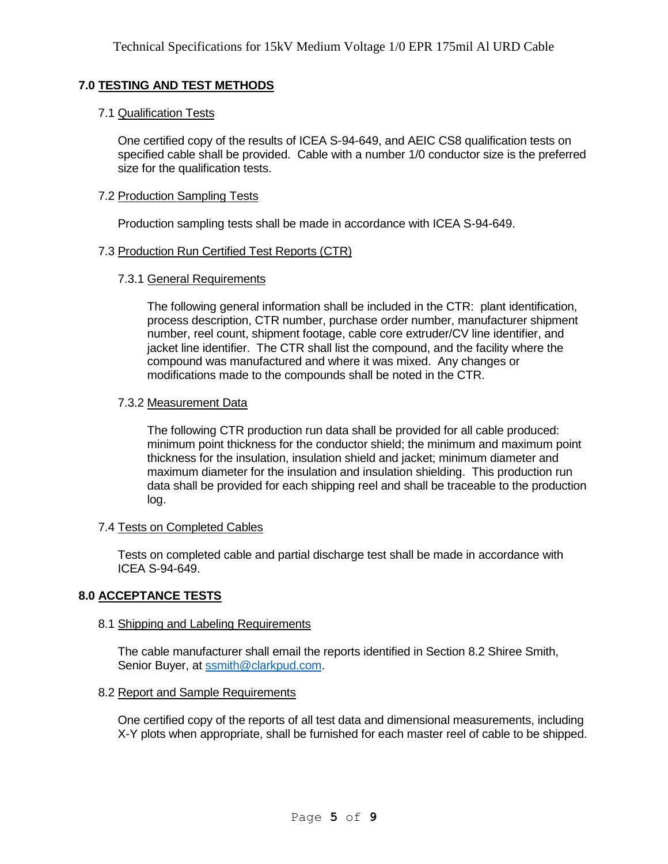# **7.0 TESTING AND TEST METHODS**

### 7.1 Qualification Tests

One certified copy of the results of ICEA S-94-649, and AEIC CS8 qualification tests on specified cable shall be provided. Cable with a number 1/0 conductor size is the preferred size for the qualification tests.

### 7.2 Production Sampling Tests

Production sampling tests shall be made in accordance with ICEA S-94-649.

### 7.3 Production Run Certified Test Reports (CTR)

### 7.3.1 General Requirements

The following general information shall be included in the CTR: plant identification, process description, CTR number, purchase order number, manufacturer shipment number, reel count, shipment footage, cable core extruder/CV line identifier, and jacket line identifier. The CTR shall list the compound, and the facility where the compound was manufactured and where it was mixed. Any changes or modifications made to the compounds shall be noted in the CTR.

### 7.3.2 Measurement Data

The following CTR production run data shall be provided for all cable produced: minimum point thickness for the conductor shield; the minimum and maximum point thickness for the insulation, insulation shield and jacket; minimum diameter and maximum diameter for the insulation and insulation shielding. This production run data shall be provided for each shipping reel and shall be traceable to the production log.

# 7.4 Tests on Completed Cables

Tests on completed cable and partial discharge test shall be made in accordance with ICEA S-94-649.

# **8.0 ACCEPTANCE TESTS**

#### 8.1 Shipping and Labeling Requirements

The cable manufacturer shall email the reports identified in Section 8.2 Shiree Smith, Senior Buyer, at [ssmith@clarkpud.com.](mailto:ssmith@clarkpud.com)

#### 8.2 Report and Sample Requirements

One certified copy of the reports of all test data and dimensional measurements, including X-Y plots when appropriate, shall be furnished for each master reel of cable to be shipped.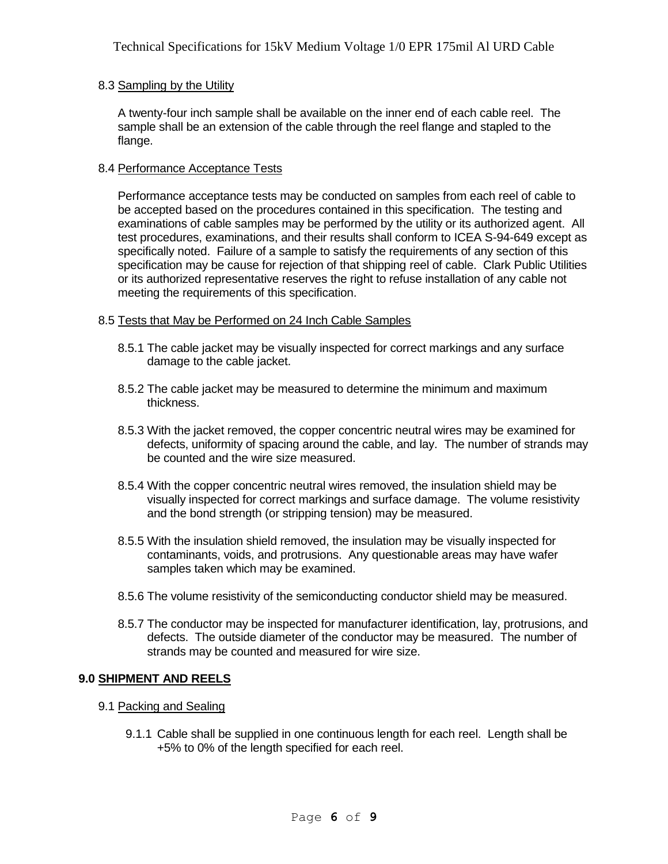### 8.3 Sampling by the Utility

A twenty-four inch sample shall be available on the inner end of each cable reel. The sample shall be an extension of the cable through the reel flange and stapled to the flange.

### 8.4 Performance Acceptance Tests

Performance acceptance tests may be conducted on samples from each reel of cable to be accepted based on the procedures contained in this specification. The testing and examinations of cable samples may be performed by the utility or its authorized agent. All test procedures, examinations, and their results shall conform to ICEA S-94-649 except as specifically noted. Failure of a sample to satisfy the requirements of any section of this specification may be cause for rejection of that shipping reel of cable. Clark Public Utilities or its authorized representative reserves the right to refuse installation of any cable not meeting the requirements of this specification.

### 8.5 Tests that May be Performed on 24 Inch Cable Samples

- 8.5.1 The cable jacket may be visually inspected for correct markings and any surface damage to the cable jacket.
- 8.5.2 The cable jacket may be measured to determine the minimum and maximum thickness.
- 8.5.3 With the jacket removed, the copper concentric neutral wires may be examined for defects, uniformity of spacing around the cable, and lay. The number of strands may be counted and the wire size measured.
- 8.5.4 With the copper concentric neutral wires removed, the insulation shield may be visually inspected for correct markings and surface damage. The volume resistivity and the bond strength (or stripping tension) may be measured.
- 8.5.5 With the insulation shield removed, the insulation may be visually inspected for contaminants, voids, and protrusions. Any questionable areas may have wafer samples taken which may be examined.
- 8.5.6 The volume resistivity of the semiconducting conductor shield may be measured.
- 8.5.7 The conductor may be inspected for manufacturer identification, lay, protrusions, and defects. The outside diameter of the conductor may be measured. The number of strands may be counted and measured for wire size.

# **9.0 SHIPMENT AND REELS**

- 9.1 Packing and Sealing
	- 9.1.1 Cable shall be supplied in one continuous length for each reel. Length shall be +5% to 0% of the length specified for each reel.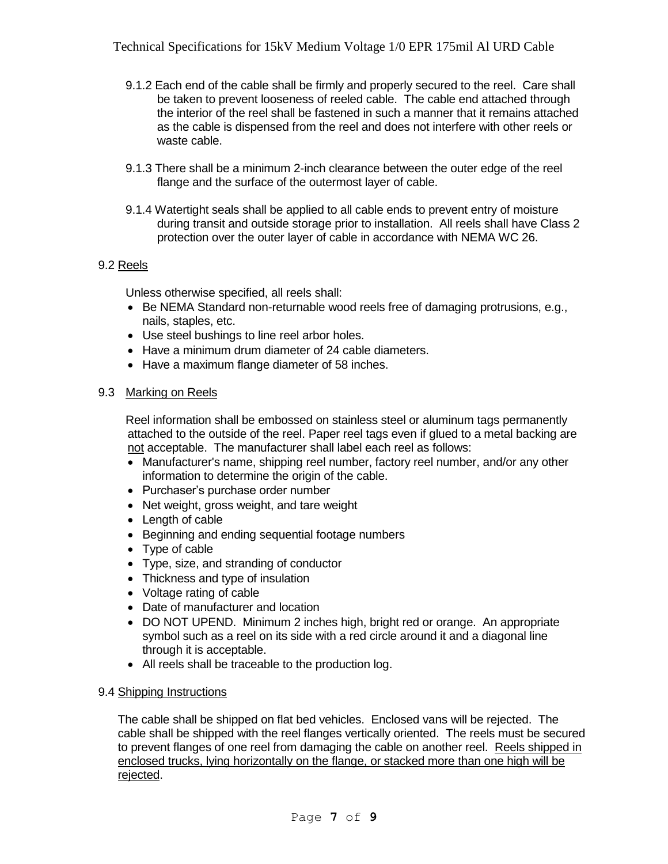- 9.1.2 Each end of the cable shall be firmly and properly secured to the reel. Care shall be taken to prevent looseness of reeled cable. The cable end attached through the interior of the reel shall be fastened in such a manner that it remains attached as the cable is dispensed from the reel and does not interfere with other reels or waste cable.
- 9.1.3 There shall be a minimum 2-inch clearance between the outer edge of the reel flange and the surface of the outermost layer of cable.
- 9.1.4 Watertight seals shall be applied to all cable ends to prevent entry of moisture during transit and outside storage prior to installation. All reels shall have Class 2 protection over the outer layer of cable in accordance with NEMA WC 26.

# 9.2 Reels

Unless otherwise specified, all reels shall:

- $\bullet$  Be NEMA Standard non-returnable wood reels free of damaging protrusions, e.g., nails, staples, etc.
- Use steel bushings to line reel arbor holes.
- Have a minimum drum diameter of 24 cable diameters.
- Have a maximum flange diameter of 58 inches.

### 9.3 Marking on Reels

Reel information shall be embossed on stainless steel or aluminum tags permanently attached to the outside of the reel. Paper reel tags even if glued to a metal backing are not acceptable. The manufacturer shall label each reel as follows:

- Manufacturer's name, shipping reel number, factory reel number, and/or any other information to determine the origin of the cable.
- Purchaser's purchase order number
- Net weight, gross weight, and tare weight
- Length of cable
- Beginning and ending sequential footage numbers
- Type of cable
- Type, size, and stranding of conductor
- Thickness and type of insulation
- Voltage rating of cable
- Date of manufacturer and location
- DO NOT UPEND. Minimum 2 inches high, bright red or orange. An appropriate symbol such as a reel on its side with a red circle around it and a diagonal line through it is acceptable.
- All reels shall be traceable to the production log.

#### 9.4 Shipping Instructions

The cable shall be shipped on flat bed vehicles. Enclosed vans will be rejected. The cable shall be shipped with the reel flanges vertically oriented. The reels must be secured to prevent flanges of one reel from damaging the cable on another reel. Reels shipped in enclosed trucks, lying horizontally on the flange, or stacked more than one high will be rejected.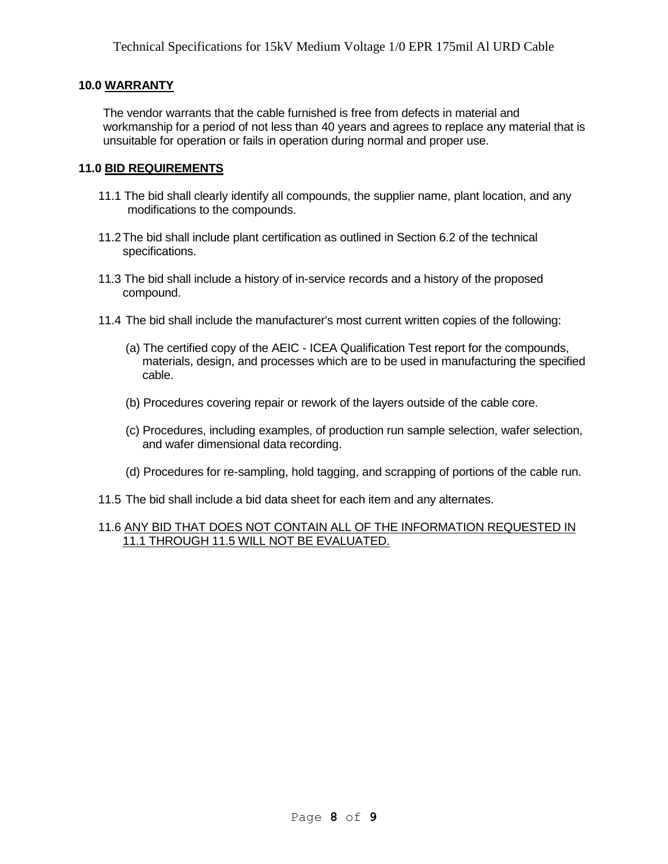# **10.0 WARRANTY**

The vendor warrants that the cable furnished is free from defects in material and workmanship for a period of not less than 40 years and agrees to replace any material that is unsuitable for operation or fails in operation during normal and proper use.

### **11.0 BID REQUIREMENTS**

- 11.1 The bid shall clearly identify all compounds, the supplier name, plant location, and any modifications to the compounds.
- 11.2The bid shall include plant certification as outlined in Section 6.2 of the technical specifications.
- 11.3 The bid shall include a history of in-service records and a history of the proposed compound.
- 11.4 The bid shall include the manufacturer's most current written copies of the following:
	- (a) The certified copy of the AEIC ICEA Qualification Test report for the compounds, materials, design, and processes which are to be used in manufacturing the specified cable.
	- (b) Procedures covering repair or rework of the layers outside of the cable core.
	- (c) Procedures, including examples, of production run sample selection, wafer selection, and wafer dimensional data recording.
	- (d) Procedures for re-sampling, hold tagging, and scrapping of portions of the cable run.
- 11.5 The bid shall include a bid data sheet for each item and any alternates.

#### 11.6 ANY BID THAT DOES NOT CONTAIN ALL OF THE INFORMATION REQUESTED IN 11.1 THROUGH 11.5 WILL NOT BE EVALUATED.